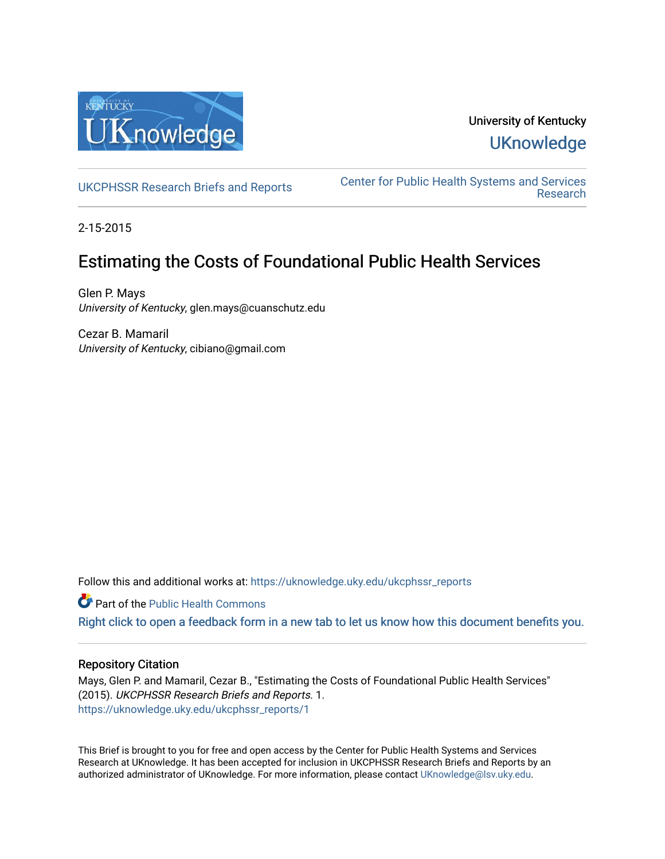

## University of Kentucky **UKnowledge**

[UKCPHSSR Research Briefs and Reports](https://uknowledge.uky.edu/ukcphssr_reports) [Center for Public Health Systems and Services](https://uknowledge.uky.edu/ukcphssr)  [Research](https://uknowledge.uky.edu/ukcphssr) 

2-15-2015

## Estimating the Costs of Foundational Public Health Services

Glen P. Mays University of Kentucky, glen.mays@cuanschutz.edu

Cezar B. Mamaril University of Kentucky, cibiano@gmail.com

Follow this and additional works at: [https://uknowledge.uky.edu/ukcphssr\\_reports](https://uknowledge.uky.edu/ukcphssr_reports?utm_source=uknowledge.uky.edu%2Fukcphssr_reports%2F1&utm_medium=PDF&utm_campaign=PDFCoverPages)

Part of the [Public Health Commons](http://network.bepress.com/hgg/discipline/738?utm_source=uknowledge.uky.edu%2Fukcphssr_reports%2F1&utm_medium=PDF&utm_campaign=PDFCoverPages) 

[Right click to open a feedback form in a new tab to let us know how this document benefits you.](https://uky.az1.qualtrics.com/jfe/form/SV_9mq8fx2GnONRfz7)

## Repository Citation

Mays, Glen P. and Mamaril, Cezar B., "Estimating the Costs of Foundational Public Health Services" (2015). UKCPHSSR Research Briefs and Reports. 1. [https://uknowledge.uky.edu/ukcphssr\\_reports/1](https://uknowledge.uky.edu/ukcphssr_reports/1?utm_source=uknowledge.uky.edu%2Fukcphssr_reports%2F1&utm_medium=PDF&utm_campaign=PDFCoverPages)

This Brief is brought to you for free and open access by the Center for Public Health Systems and Services Research at UKnowledge. It has been accepted for inclusion in UKCPHSSR Research Briefs and Reports by an authorized administrator of UKnowledge. For more information, please contact [UKnowledge@lsv.uky.edu](mailto:UKnowledge@lsv.uky.edu).